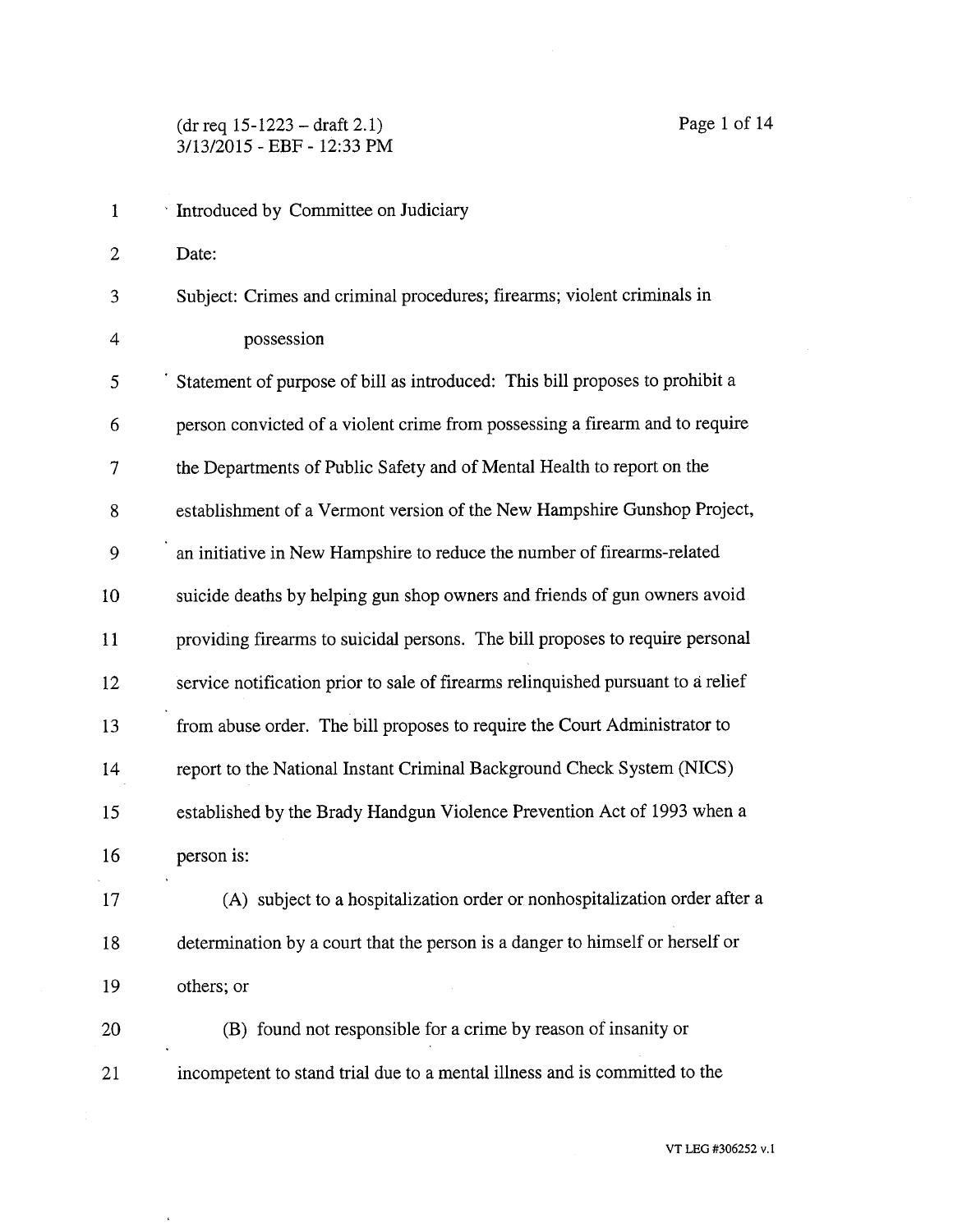## (dr req 15-1223 — draft 2.1) Page 1 of 14 3/13/2015 - EBF - 12:33 PM

 $\epsilon$ 

| $\mathbf{1}$ | Introduced by Committee on Judiciary                                             |
|--------------|----------------------------------------------------------------------------------|
| 2            | Date:                                                                            |
| 3            | Subject: Crimes and criminal procedures; firearms; violent criminals in          |
| 4            | possession                                                                       |
| 5            | Statement of purpose of bill as introduced: This bill proposes to prohibit a     |
| 6            | person convicted of a violent crime from possessing a firearm and to require     |
| 7            | the Departments of Public Safety and of Mental Health to report on the           |
| 8            | establishment of a Vermont version of the New Hampshire Gunshop Project,         |
| 9            | an initiative in New Hampshire to reduce the number of firearms-related          |
| 10           | suicide deaths by helping gun shop owners and friends of gun owners avoid        |
| 11           | providing firearms to suicidal persons. The bill proposes to require personal    |
| 12           | service notification prior to sale of firearms relinquished pursuant to a relief |
| 13           | from abuse order. The bill proposes to require the Court Administrator to        |
| 14           | report to the National Instant Criminal Background Check System (NICS)           |
| 15           | established by the Brady Handgun Violence Prevention Act of 1993 when a          |
| 16           | person is:                                                                       |
| 17           | (A) subject to a hospitalization order or nonhospitalization order after a       |
| 18           | determination by a court that the person is a danger to himself or herself or    |
| 19           | others; or                                                                       |
| 20           | (B) found not responsible for a crime by reason of insanity or                   |
| 21           | incompetent to stand trial due to a mental illness and is committed to the       |
|              |                                                                                  |

VT LEG #306252 v.1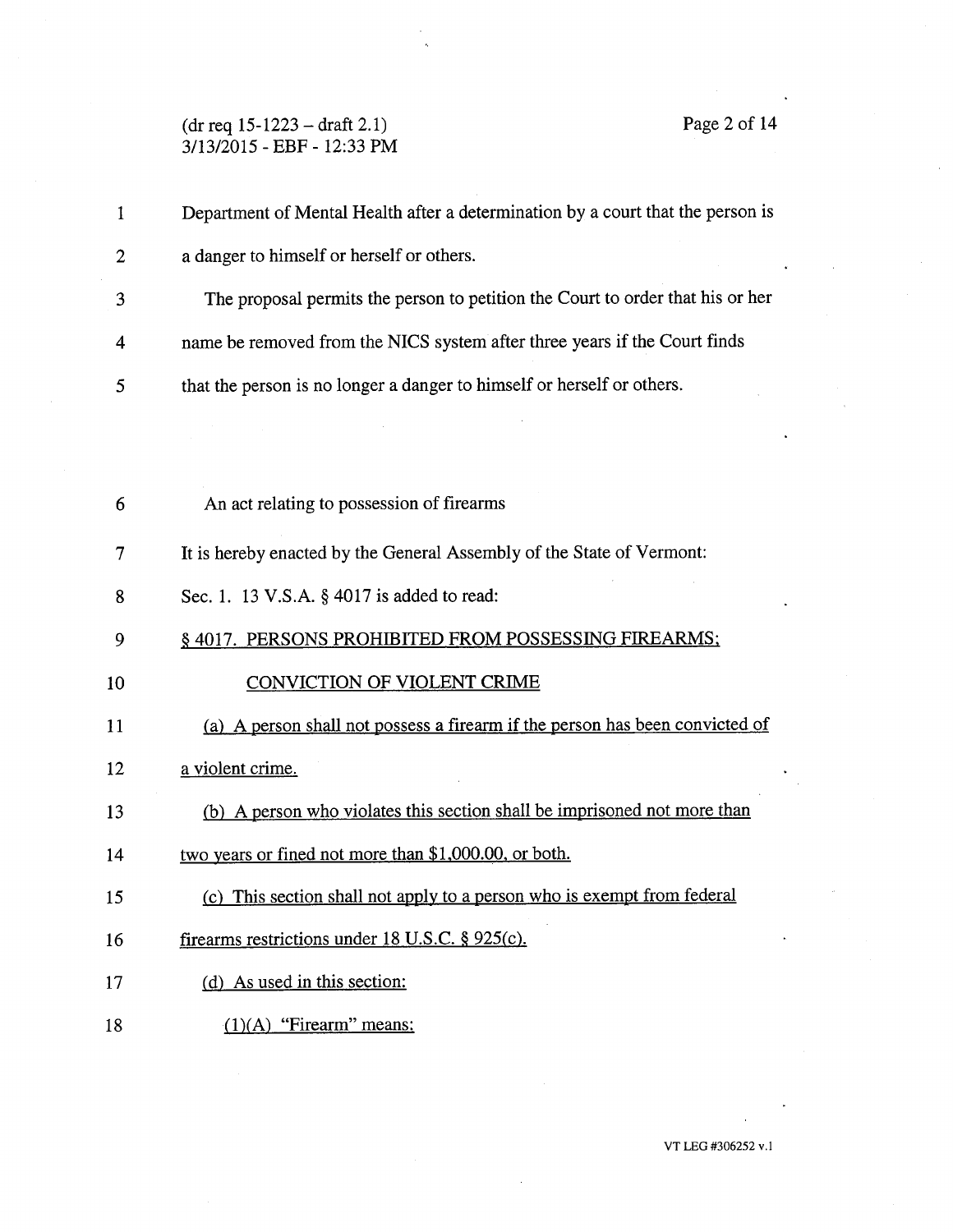## (dr req 15-1223 —draft 2.1) Page 2 of 14 3/13/2015 - EBF - 12:33 PM

| 1              | Department of Mental Health after a determination by a court that the person is |
|----------------|---------------------------------------------------------------------------------|
| $\overline{2}$ | a danger to himself or herself or others.                                       |
| 3              | The proposal permits the person to petition the Court to order that his or her  |
| 4              | name be removed from the NICS system after three years if the Court finds       |
| 5              | that the person is no longer a danger to himself or herself or others.          |
|                |                                                                                 |
|                |                                                                                 |
| 6              | An act relating to possession of firearms                                       |
| 7              | It is hereby enacted by the General Assembly of the State of Vermont:           |
| 8              | Sec. 1. 13 V.S.A. § 4017 is added to read:                                      |
| 9              | § 4017. PERSONS PROHIBITED FROM POSSESSING FIREARMS;                            |
| 10             | <b>CONVICTION OF VIOLENT CRIME</b>                                              |
| 11             | (a) A person shall not possess a firearm if the person has been convicted of    |
| 12             | a violent crime.                                                                |
| 13             | (b) A person who violates this section shall be imprisoned not more than        |
| 14             | two years or fined not more than \$1,000.00, or both.                           |
| 15             | (c) This section shall not apply to a person who is exempt from federal         |
| 16             | firearms restrictions under 18 U.S.C. § 925(c).                                 |
| 17             | (d) As used in this section:                                                    |
| 18             | $(1)(A)$ "Firearm" means:                                                       |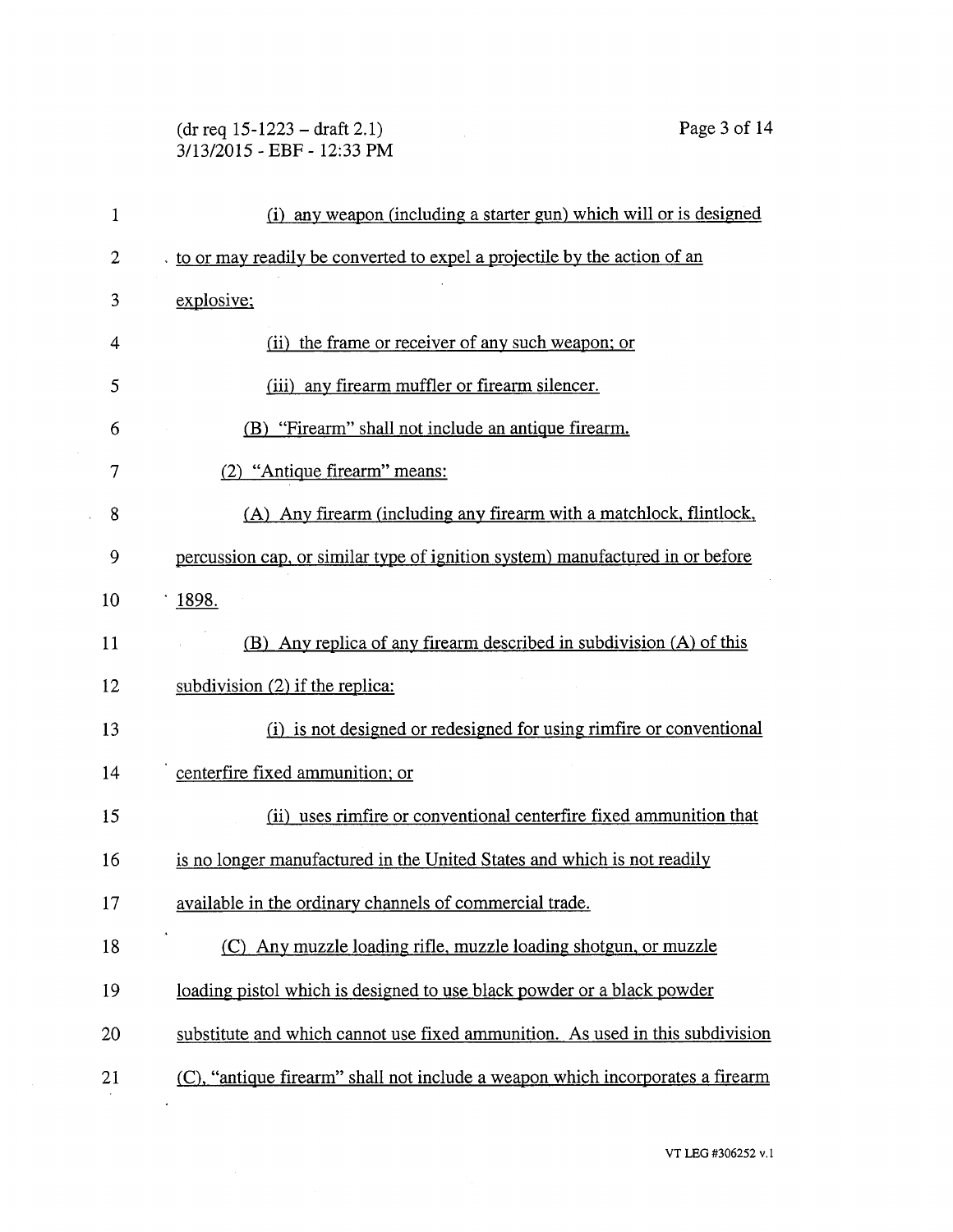# (dr req 15-1223 — draft 2.1) Page 3 of 14 3/13/2015 - EBF - 12:33 PM

| $\mathbf{1}$ | (i) any weapon (including a starter gun) which will or is designed             |
|--------------|--------------------------------------------------------------------------------|
| 2            | to or may readily be converted to expel a projectile by the action of an       |
| 3            | explosive;                                                                     |
| 4            | (ii) the frame or receiver of any such weapon; or                              |
| 5            | (iii) any firearm muffler or firearm silencer.                                 |
| 6            | (B) "Firearm" shall not include an antique firearm.                            |
| 7            | (2) "Antique firearm" means:                                                   |
| 8            | (A) Any firearm (including any firearm with a matchlock, flintlock,            |
| 9            | percussion cap, or similar type of ignition system) manufactured in or before  |
| 10           | 1898.                                                                          |
| 11           | (B) Any replica of any firearm described in subdivision (A) of this            |
| 12           | subdivision $(2)$ if the replica:                                              |
| 13           | (i) is not designed or redesigned for using rimfire or conventional            |
| 14           | centerfire fixed ammunition; or                                                |
| 15           | (ii) uses rimfire or conventional centerfire fixed ammunition that             |
| 16           | is no longer manufactured in the United States and which is not readily        |
| 17           | available in the ordinary channels of commercial trade.                        |
| 18           | (C) Any muzzle loading rifle, muzzle loading shotgun, or muzzle                |
| 19           | loading pistol which is designed to use black powder or a black powder         |
| 20           | substitute and which cannot use fixed ammunition. As used in this subdivision  |
| 21           | (C), "antique firearm" shall not include a weapon which incorporates a firearm |
|              |                                                                                |
|              |                                                                                |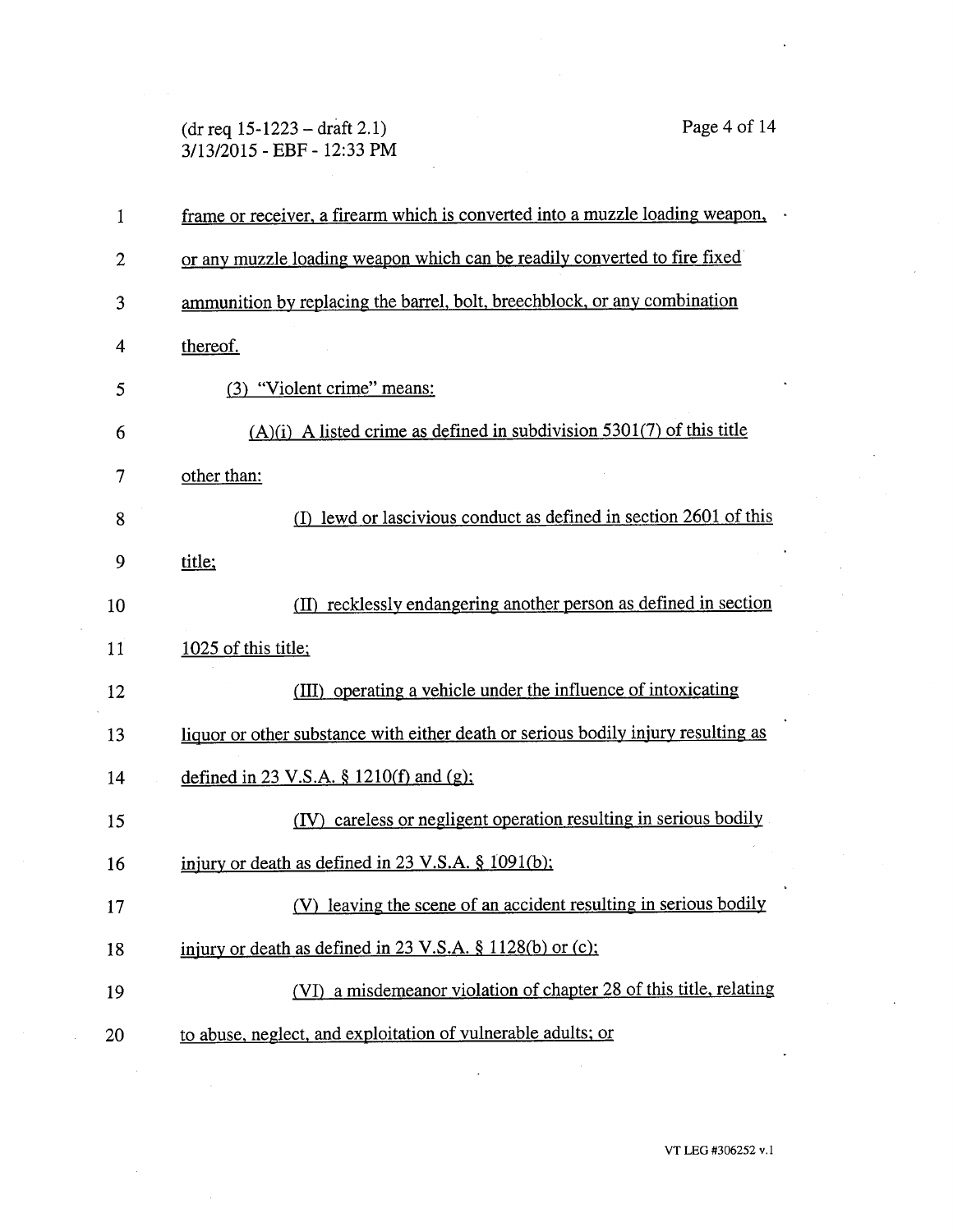(dr req 15-1223 — draft 2.1) Page 4 of 14 3/13/2015 - EBF - 12:33 PM

| 1  | frame or receiver, a firearm which is converted into a muzzle loading weapon,     |
|----|-----------------------------------------------------------------------------------|
| 2  | or any muzzle loading weapon which can be readily converted to fire fixed         |
| 3  | ammunition by replacing the barrel, bolt, breechblock, or any combination         |
| 4  | thereof.                                                                          |
| 5  | (3) "Violent crime" means:                                                        |
| 6  | $(A)(i)$ A listed crime as defined in subdivision 5301(7) of this title           |
| 7  | other than:                                                                       |
| 8  | lewd or lascivious conduct as defined in section 2601 of this<br>(D               |
| 9  | title:                                                                            |
| 10 | (II) recklessly endangering another person as defined in section                  |
| 11 | 1025 of this title;                                                               |
| 12 | (III) operating a vehicle under the influence of intoxicating                     |
| 13 | liquor or other substance with either death or serious bodily injury resulting as |
| 14 | defined in 23 V.S.A. § $1210(f)$ and (g);                                         |
| 15 | careless or negligent operation resulting in serious bodily<br>(IV)               |
| 16 | injury or death as defined in $23 \text{ V.S.A.}$ \$1091(b);                      |
| 17 | (V) leaving the scene of an accident resulting in serious bodily                  |
| 18 | injury or death as defined in 23 V.S.A. § 1128(b) or (c);                         |
| 19 | (VI) a misdemeanor violation of chapter 28 of this title, relating                |
| 20 | to abuse, neglect, and exploitation of vulnerable adults; or                      |

VT LEG #306252 v.1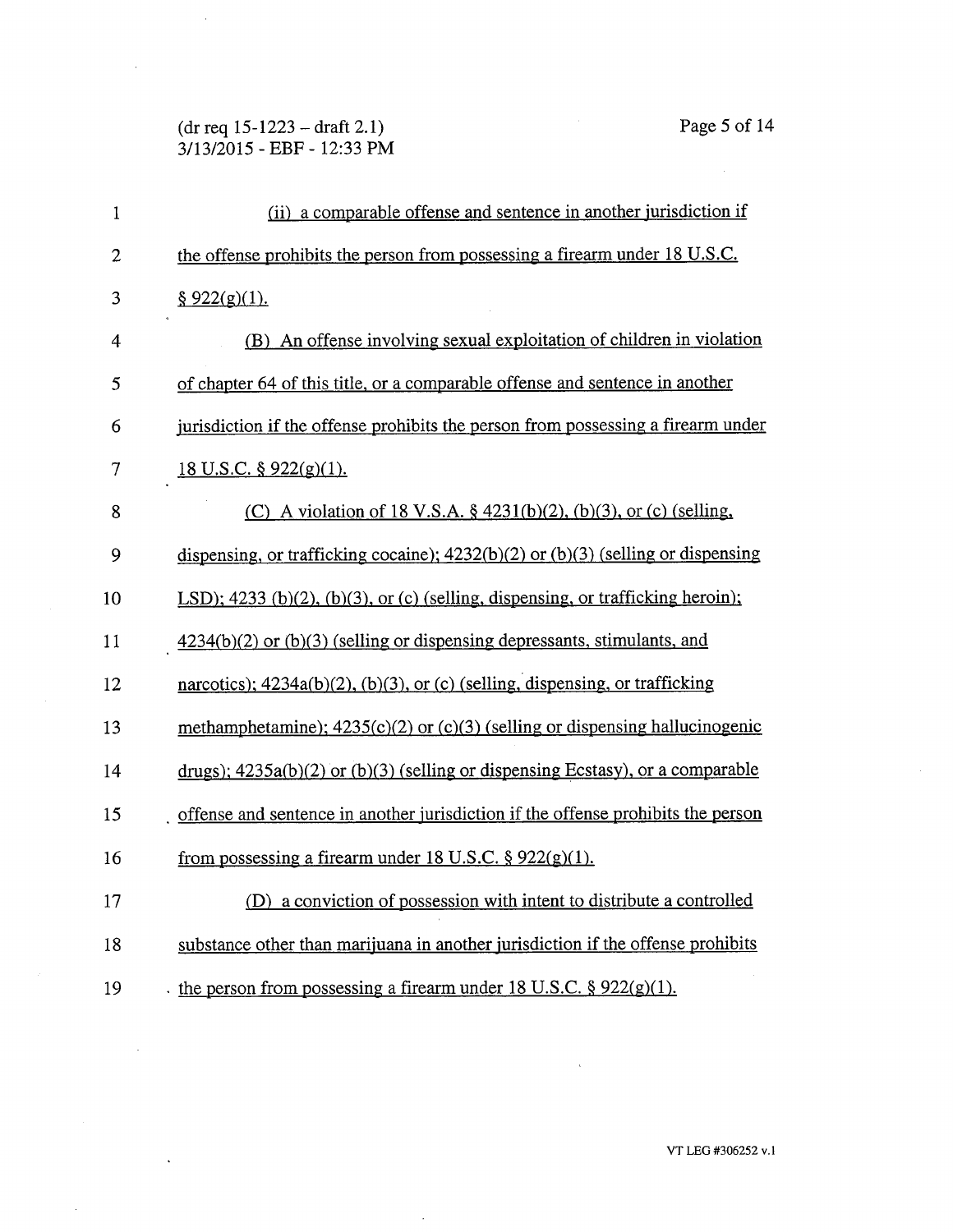(dr req 15-1223 — draft 2.1) Page 5 of 14 3/13/2015 - EBF - 12:33 PM

 $\sim$ 

 $\bar{\mathcal{A}}$ 

 $\ddot{\phantom{1}}$ 

J.

| $\mathbf{1}$   | (ii) a comparable offense and sentence in another jurisdiction if                  |
|----------------|------------------------------------------------------------------------------------|
| $\overline{2}$ | the offense prohibits the person from possessing a firearm under 18 U.S.C.         |
| 3              | \$922(g)(1).                                                                       |
| 4              | (B) An offense involving sexual exploitation of children in violation              |
| 5              | of chapter 64 of this title, or a comparable offense and sentence in another       |
| 6              | jurisdiction if the offense prohibits the person from possessing a firearm under   |
| 7              | 18 U.S.C. § $922(g)(1)$ .                                                          |
| 8              | (C) A violation of 18 V.S.A. $\S$ 4231(b)(2), (b)(3), or (c) (selling,             |
| 9              | dispensing, or trafficking cocaine); $4232(b)(2)$ or (b)(3) (selling or dispensing |
| 10             | LSD); $4233$ (b)(2), (b)(3), or (c) (selling, dispensing, or trafficking heroin);  |
| 11             | $4234(b)(2)$ or $(b)(3)$ (selling or dispensing depressants, stimulants, and       |
| 12             | narcotics); $4234a(b)(2)$ , (b)(3), or (c) (selling, dispensing, or trafficking    |
| 13             | methamphetamine); $4235(c)(2)$ or $(c)(3)$ (selling or dispensing hallucinogenic   |
| 14             | drugs); $4235a(b)(2)$ or $(b)(3)$ (selling or dispensing Ecstasy), or a comparable |
| 15             | offense and sentence in another jurisdiction if the offense prohibits the person   |
| 16             | from possessing a firearm under 18 U.S.C. $\S 922(g)(1)$ .                         |
| 17             | (D) a conviction of possession with intent to distribute a controlled              |
| 18             | substance other than marijuana in another jurisdiction if the offense prohibits    |
| 19             | the person from possessing a firearm under 18 U.S.C. $\S 922(g)(1)$ .              |

 $\bar{\mathcal{A}}$ 

 $\sim 40$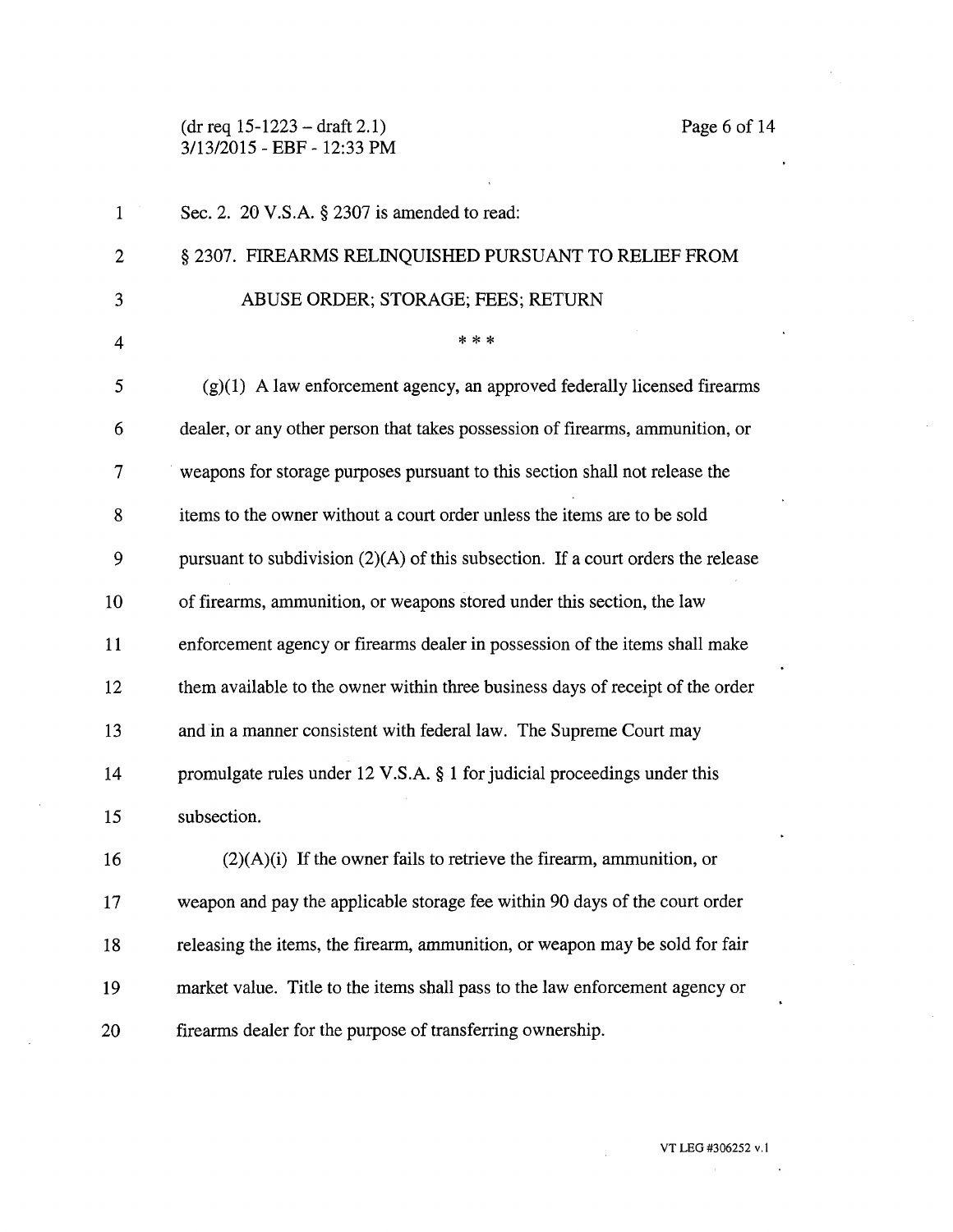(dr req 15-1223 — draft 2.1) Page 6 of 14 3/13/2015 - EBF - 12:33 PM

| $\mathbf{1}$   | Sec. 2. $20 \text{ V.S.A. }$ § 2307 is amended to read:                            |
|----------------|------------------------------------------------------------------------------------|
| $\overline{c}$ | § 2307. FIREARMS RELINQUISHED PURSUANT TO RELIEF FROM                              |
| 3              | ABUSE ORDER; STORAGE; FEES; RETURN                                                 |
| 4              | * * *                                                                              |
| 5              | $(g)(1)$ A law enforcement agency, an approved federally licensed firearms         |
| 6              | dealer, or any other person that takes possession of firearms, ammunition, or      |
| 7              | weapons for storage purposes pursuant to this section shall not release the        |
| 8              | items to the owner without a court order unless the items are to be sold           |
| 9              | pursuant to subdivision $(2)(A)$ of this subsection. If a court orders the release |
| 10             | of firearms, ammunition, or weapons stored under this section, the law             |
| 11             | enforcement agency or firearms dealer in possession of the items shall make        |
| 12             | them available to the owner within three business days of receipt of the order     |
| 13             | and in a manner consistent with federal law. The Supreme Court may                 |
| 14             | promulgate rules under 12 V.S.A. § 1 for judicial proceedings under this           |
| 15             | subsection.                                                                        |
| 16             | $(2)(A)(i)$ If the owner fails to retrieve the firearm, ammunition, or             |
| 17             | weapon and pay the applicable storage fee within 90 days of the court order        |
| 18             | releasing the items, the firearm, ammunition, or weapon may be sold for fair       |
| 19             | market value. Title to the items shall pass to the law enforcement agency or       |
| 20             | firearms dealer for the purpose of transferring ownership.                         |

 $\sim$   $\sim$ 

 $\mathcal{L}_{\text{max}}$  and  $\mathcal{L}_{\text{max}}$  . The  $\mathcal{L}_{\text{max}}$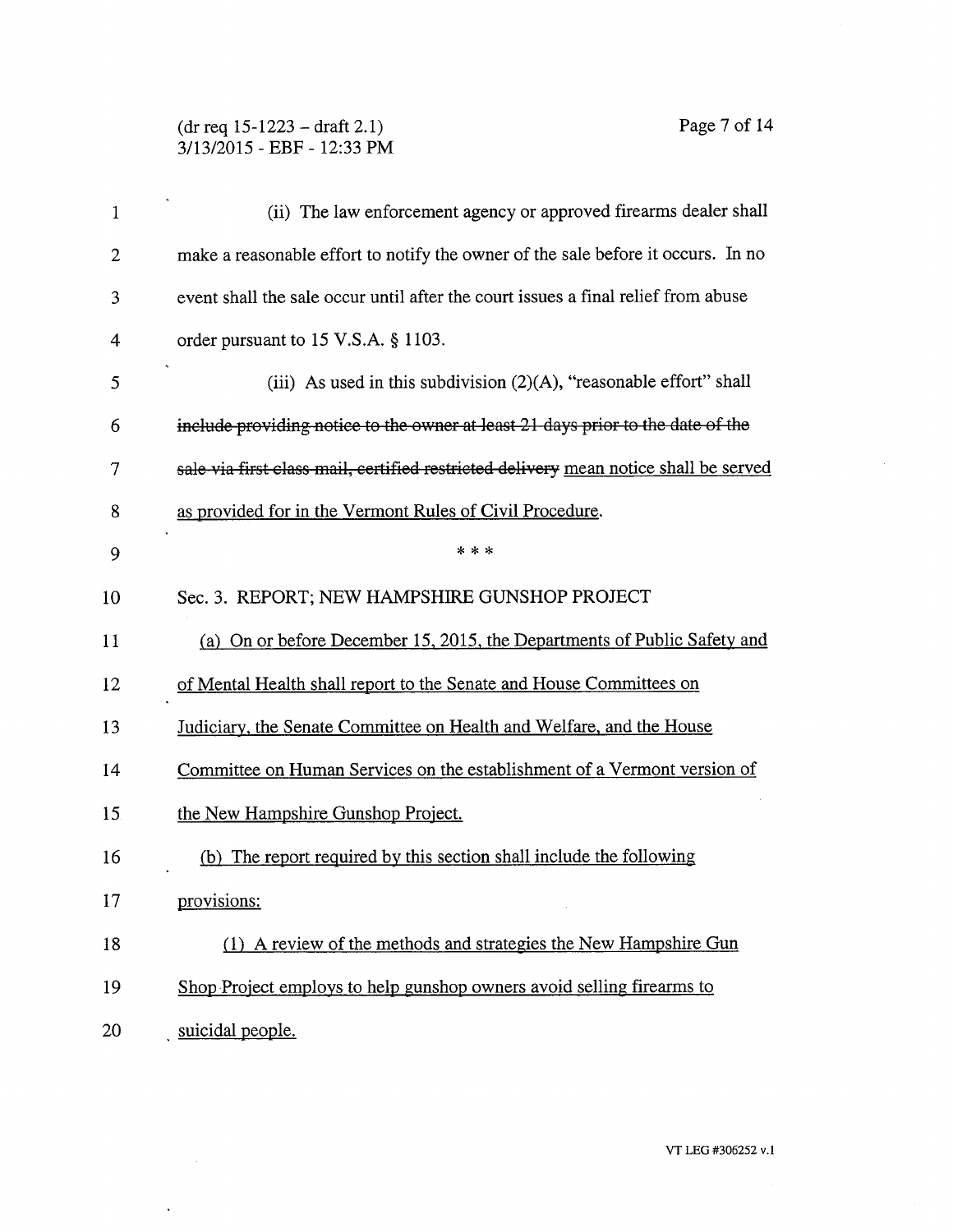## (dr req 15-1223 — draft 2.1) Page 7 of 14 3/13/2015 - EBF - 12:33 PM

 $\ddot{\phantom{0}}$ 

 $\hat{\theta}$ 

| $\mathbf 1$    | (ii) The law enforcement agency or approved firearms dealer shall                    |
|----------------|--------------------------------------------------------------------------------------|
| $\overline{2}$ | make a reasonable effort to notify the owner of the sale before it occurs. In no     |
| 3              | event shall the sale occur until after the court issues a final relief from abuse    |
| 4              | order pursuant to 15 V.S.A. § 1103.                                                  |
| 5              | (iii) As used in this subdivision $(2)(A)$ , "reasonable effort" shall               |
| 6              | include providing notice to the owner at least 21 days prior to the date of the      |
| 7              | sale via first class mail, certified restricted delivery mean notice shall be served |
| 8              | as provided for in the Vermont Rules of Civil Procedure.                             |
| 9              | * * *                                                                                |
| 10             | Sec. 3. REPORT; NEW HAMPSHIRE GUNSHOP PROJECT                                        |
| 11             | (a) On or before December 15, 2015, the Departments of Public Safety and             |
| 12             | of Mental Health shall report to the Senate and House Committees on                  |
| 13             | Judiciary, the Senate Committee on Health and Welfare, and the House                 |
| 14             | Committee on Human Services on the establishment of a Vermont version of             |
| 15             | the New Hampshire Gunshop Project.                                                   |
| 16             | (b) The report required by this section shall include the following                  |
| 17             | provisions:                                                                          |
| 18             | (1) A review of the methods and strategies the New Hampshire Gun                     |
| 19             | Shop Project employs to help gunshop owners avoid selling firearms to                |
| 20             | suicidal people.                                                                     |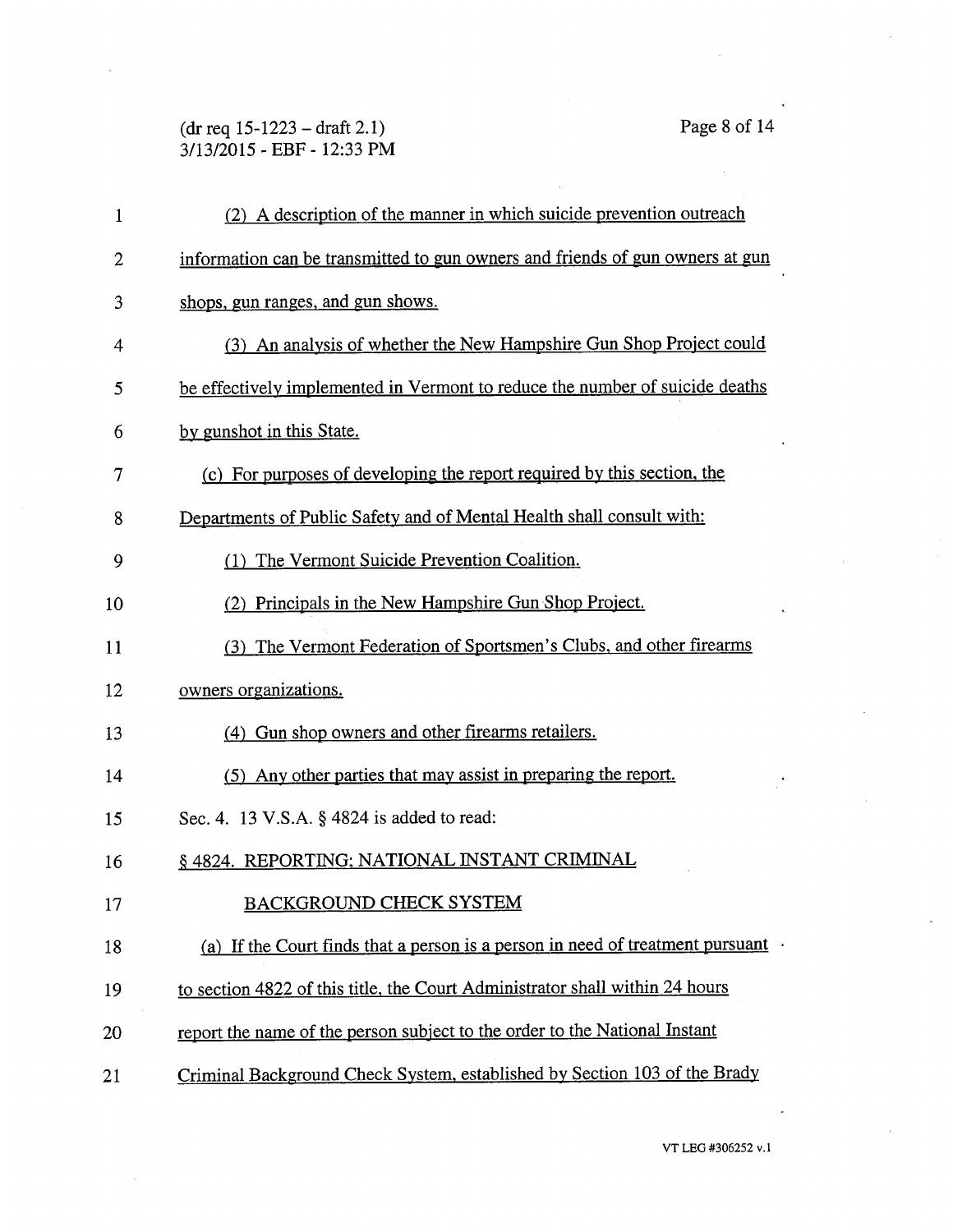# (dr req 15-1223 — draft 2.1) Page 8 of 14 3/13/2015 - EBF - 12:33 PM

 $\hat{\boldsymbol{\epsilon}}$ 

| $\mathbf 1$ | (2) A description of the manner in which suicide prevention outreach                   |
|-------------|----------------------------------------------------------------------------------------|
| 2           | information can be transmitted to gun owners and friends of gun owners at gun          |
| 3           | shops, gun ranges, and gun shows.                                                      |
| 4           | (3) An analysis of whether the New Hampshire Gun Shop Project could                    |
| 5           | be effectively implemented in Vermont to reduce the number of suicide deaths           |
| 6           | by gunshot in this State.                                                              |
| 7           | (c) For purposes of developing the report required by this section, the                |
| 8           | Departments of Public Safety and of Mental Health shall consult with:                  |
| 9           | (1) The Vermont Suicide Prevention Coalition.                                          |
| 10          | (2) Principals in the New Hampshire Gun Shop Project.                                  |
| 11          | (3) The Vermont Federation of Sportsmen's Clubs, and other firearms                    |
| 12          | owners organizations.                                                                  |
| 13          | (4) Gun shop owners and other firearms retailers.                                      |
| 14          | (5) Any other parties that may assist in preparing the report.                         |
| 15          | Sec. 4. 13 V.S.A. § 4824 is added to read:                                             |
| 16          | § 4824. REPORTING; NATIONAL INSTANT CRIMINAL                                           |
| 17          | <b>BACKGROUND CHECK SYSTEM</b>                                                         |
| 18          | (a) If the Court finds that a person is a person in need of treatment pursuant $\cdot$ |
| 19          | to section 4822 of this title, the Court Administrator shall within 24 hours           |
| 20          | report the name of the person subject to the order to the National Instant             |
| 21          | Criminal Background Check System, established by Section 103 of the Brady              |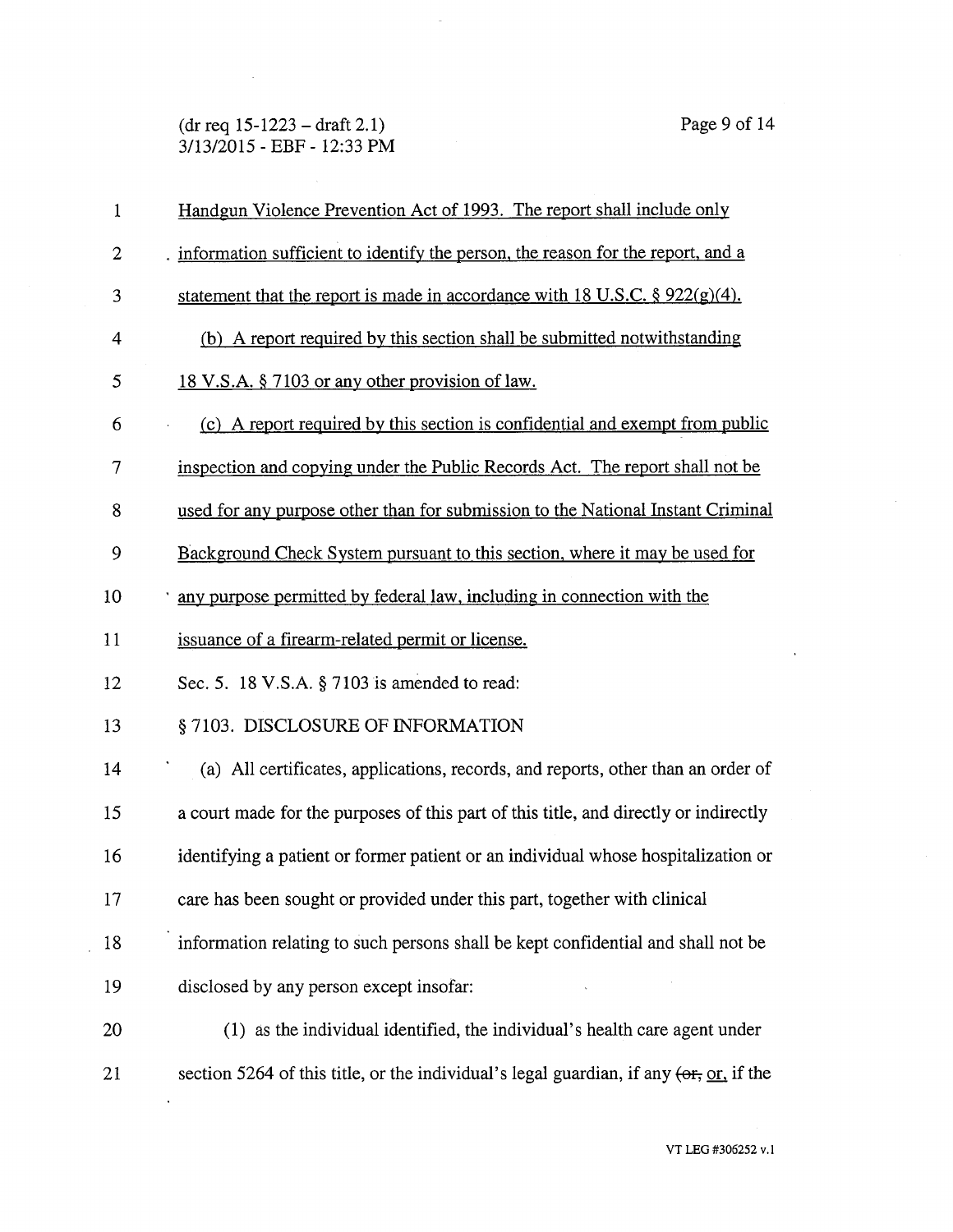(dr req 15-1223 — draft 2.1) Page 9 of 14 3/13/2015 - EBF - 12:33 PM

 $\sim$   $\sim$ 

 $\ddot{\phantom{0}}$ 

| 1              | Handgun Violence Prevention Act of 1993. The report shall include only                       |
|----------------|----------------------------------------------------------------------------------------------|
| $\overline{2}$ | information sufficient to identify the person, the reason for the report, and a              |
| 3              | statement that the report is made in accordance with 18 U.S.C. $\S 922(g)(4)$ .              |
| $\overline{4}$ | (b) A report required by this section shall be submitted not with standing                   |
| 5              | 18 V.S.A. § 7103 or any other provision of law.                                              |
| 6              | (c) A report required by this section is confidential and exempt from public                 |
| 7              | inspection and copying under the Public Records Act. The report shall not be                 |
| 8              | used for any purpose other than for submission to the National Instant Criminal              |
| 9              | Background Check System pursuant to this section, where it may be used for                   |
| 10             | any purpose permitted by federal law, including in connection with the                       |
| 11             | issuance of a firearm-related permit or license.                                             |
| 12             | Sec. 5. 18 V.S.A. § 7103 is amended to read:                                                 |
| 13             | § 7103. DISCLOSURE OF INFORMATION                                                            |
| 14             | (a) All certificates, applications, records, and reports, other than an order of             |
| 15             | a court made for the purposes of this part of this title, and directly or indirectly         |
| 16             | identifying a patient or former patient or an individual whose hospitalization or            |
| 17             | care has been sought or provided under this part, together with clinical                     |
| 18             | information relating to such persons shall be kept confidential and shall not be             |
| 19             | disclosed by any person except insofar:                                                      |
| 20             | (1) as the individual identified, the individual's health care agent under                   |
| 21             | section 5264 of this title, or the individual's legal guardian, if any $(0.67, 0.07)$ if the |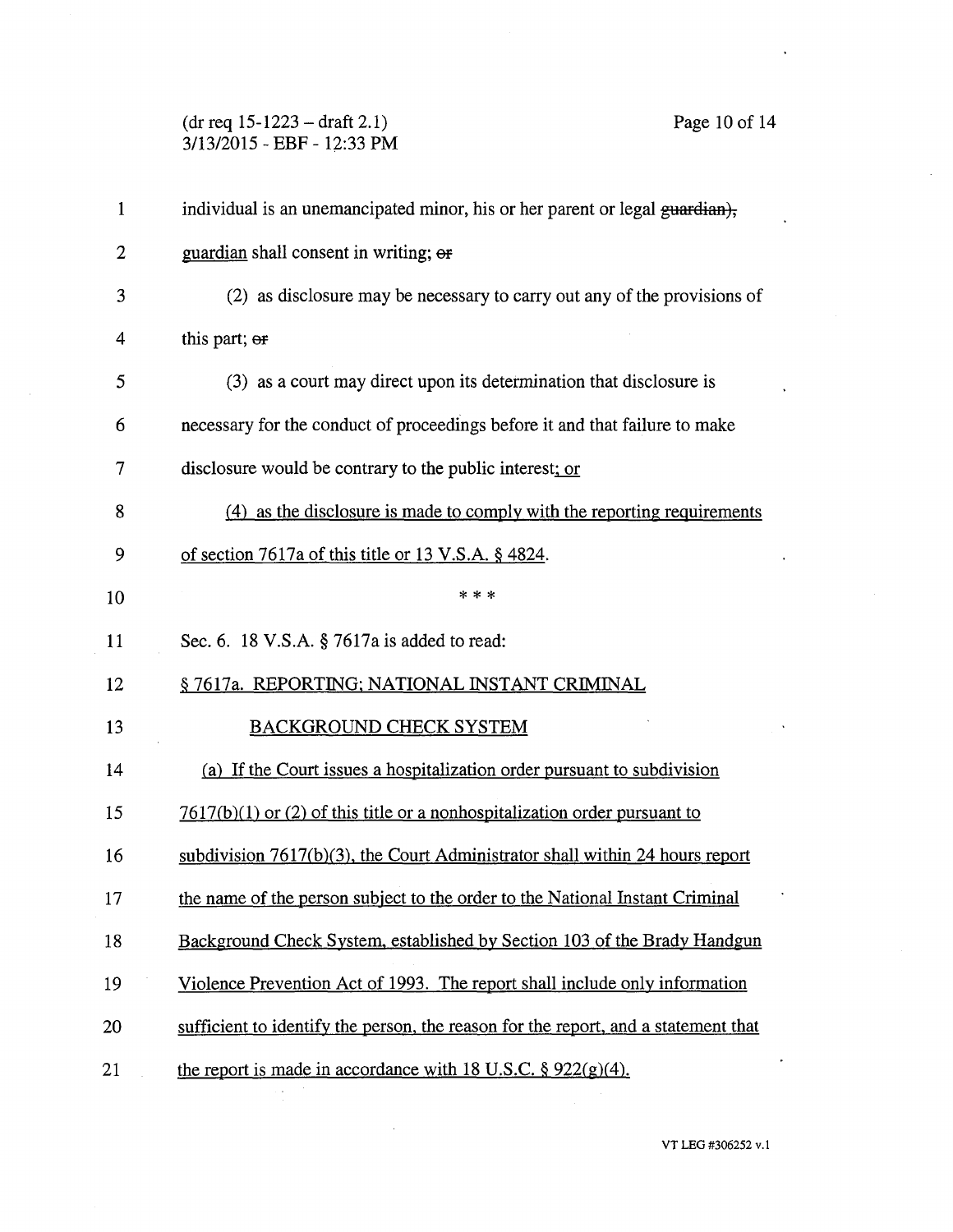(dr req 15-1223 — draft 2.1) Page 10 of 14 3/13/2015 - EBF - 12:33 PM

 $\sim$ 

| $\mathbf{1}$   | individual is an unemancipated minor, his or her parent or legal guardian),        |
|----------------|------------------------------------------------------------------------------------|
| $\overline{2}$ | guardian shall consent in writing; or                                              |
| 3              | (2) as disclosure may be necessary to carry out any of the provisions of           |
| 4              | this part; or                                                                      |
| 5              | (3) as a court may direct upon its determination that disclosure is                |
| 6              | necessary for the conduct of proceedings before it and that failure to make        |
| 7              | disclosure would be contrary to the public interest; or                            |
| 8              | (4) as the disclosure is made to comply with the reporting requirements            |
| 9              | of section 7617a of this title or 13 V.S.A. § 4824.                                |
| 10             | * * *                                                                              |
| 11             | Sec. 6. 18 V.S.A. § 7617a is added to read:                                        |
| 12             | § 7617a. REPORTING; NATIONAL INSTANT CRIMINAL                                      |
| 13             | <b>BACKGROUND CHECK SYSTEM</b>                                                     |
| 14             | (a) If the Court issues a hospitalization order pursuant to subdivision            |
| 15             | $7617(b)(1)$ or (2) of this title or a nonhospitalization order pursuant to        |
| 16             | subdivision 7617(b)(3), the Court Administrator shall within 24 hours report       |
| 17             | the name of the person subject to the order to the National Instant Criminal       |
| 18             | Background Check System, established by Section 103 of the Brady Handgun           |
| 19             | Violence Prevention Act of 1993. The report shall include only information         |
| 20             | sufficient to identify the person, the reason for the report, and a statement that |
| 21             | the report is made in accordance with 18 U.S.C. $\S 922(g)(4)$ .                   |

VT LEG #306252 v.1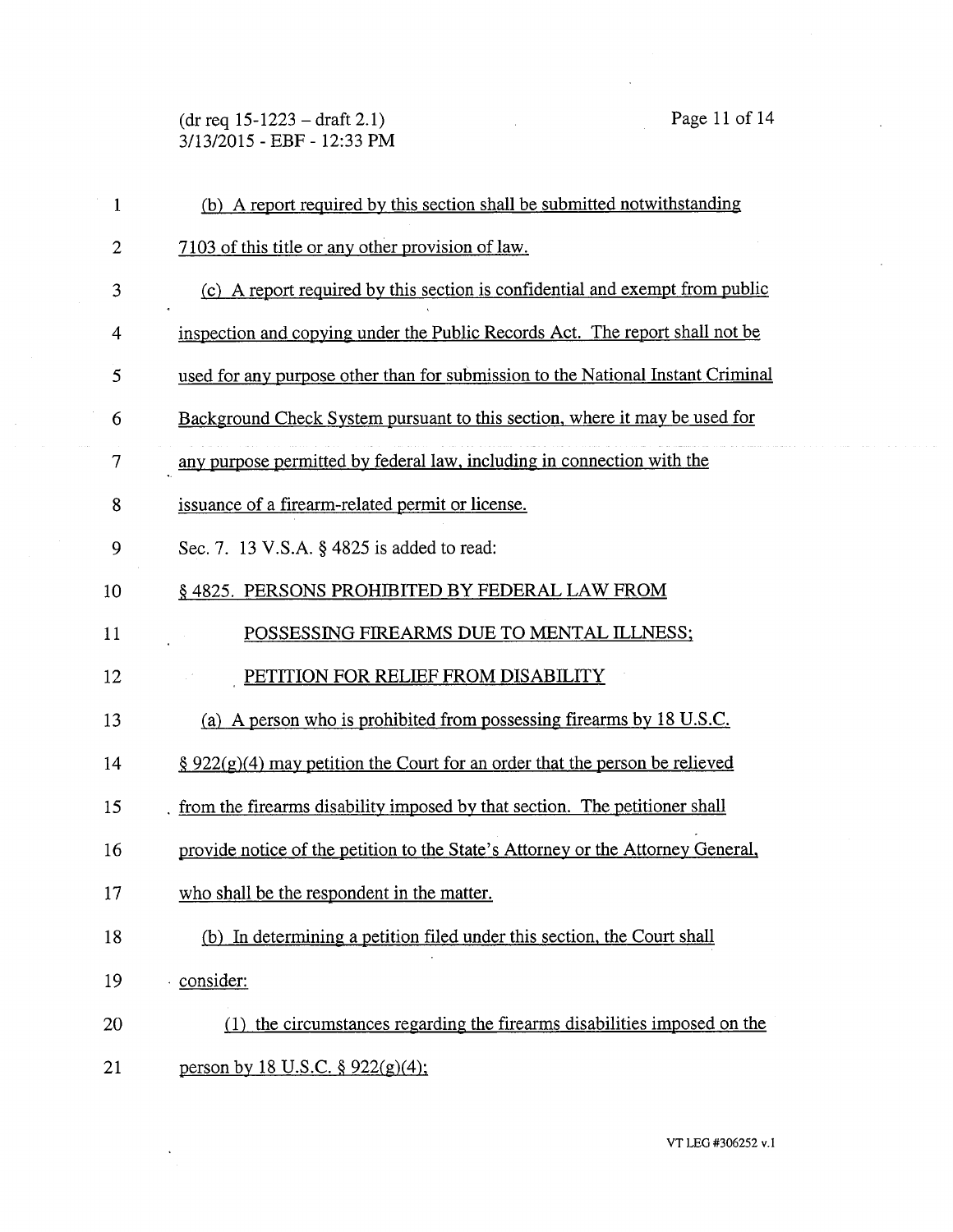(dr req 15-1223 — draft 2.1) Page 11 of 14 3/13/2015 - EBF - 12:33 PM

 $\mathbf{1}$ (b) A report required by this section shall be submitted notwithstanding 2 7103 of this title or any other provision of law. 3 (c) A report required by this section is confidential and exempt from public 4 inspection and copying under the Public Records Act. The report shall not be used for any purpose other than for submission to the National Instant Criminal 5 Background Check System pursuant to this section, where it may be used for 6 7 any purpose permitted by federal law, including in connection with the 8 issuance of a firearm-related permit or license. 9 Sec. 7. 13 V.S.A. § 4825 is added to read: 10 § 4825. PERSONS PROHIBITED BY FEDERAL LAW FROM 11 POSSESSING FIREARMS DUE TO MENTAL ILLNESS; 12 PETITION FOR RELIEF FROM DISABILITY 13 (a) A person who is prohibited from possessing firearms by 18 U.S.C. 14 § 922(g)(4) may petition the Court for an order that the person be relieved 15 . from the firearms disability imposed by that section. The petitioner shall 16 provide notice of the petition to the State's Attorney or the Attorney General, 17 who shall be the respondent in the matter. 18 (b) In determining a petition filed under this section, the Court shall 19 • consider: 20 (1) the circumstances regarding the firearms disabilities imposed on the 21 person by 18 U.S.C. § 922(g)(4);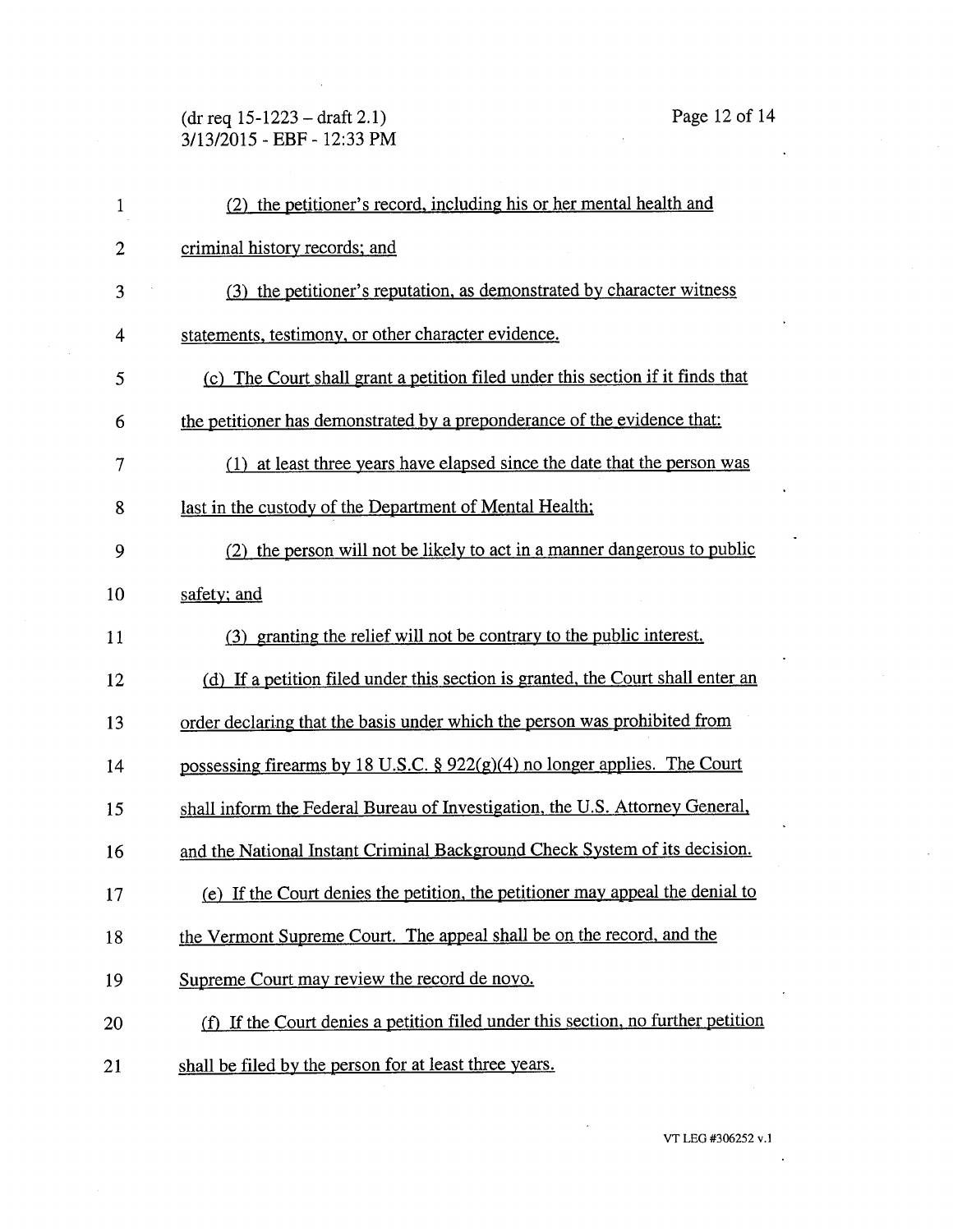(dr req 15-1223 — draft 2.1) Page 12 of 14 3/13/2015 - EBF - 12:33 PM

| 1              | (2) the petitioner's record, including his or her mental health and              |
|----------------|----------------------------------------------------------------------------------|
| $\overline{2}$ | criminal history records; and                                                    |
| 3              | (3) the petitioner's reputation, as demonstrated by character witness            |
| 4              | statements, testimony, or other character evidence.                              |
| 5              | (c) The Court shall grant a petition filed under this section if it finds that   |
| 6              | the petitioner has demonstrated by a preponderance of the evidence that:         |
| 7              | (1) at least three years have elapsed since the date that the person was         |
| 8              | last in the custody of the Department of Mental Health;                          |
| 9              | (2) the person will not be likely to act in a manner dangerous to public         |
| 10             | safety; and                                                                      |
| 11             | (3) granting the relief will not be contrary to the public interest.             |
| 12             | (d) If a petition filed under this section is granted, the Court shall enter an  |
| 13             | order declaring that the basis under which the person was prohibited from        |
| 14             | possessing firearms by 18 U.S.C. § 922(g)(4) no longer applies. The Court        |
| 15             | shall inform the Federal Bureau of Investigation, the U.S. Attorney General,     |
| 16             | and the National Instant Criminal Background Check System of its decision.       |
| 17             | (e) If the Court denies the petition, the petitioner may appeal the denial to    |
| 18             | the Vermont Supreme Court. The appeal shall be on the record, and the            |
| 19             | Supreme Court may review the record de novo.                                     |
| 20             | (f) If the Court denies a petition filed under this section, no further petition |
| 21             | shall be filed by the person for at least three years.                           |

 $\ddot{\phantom{0}}$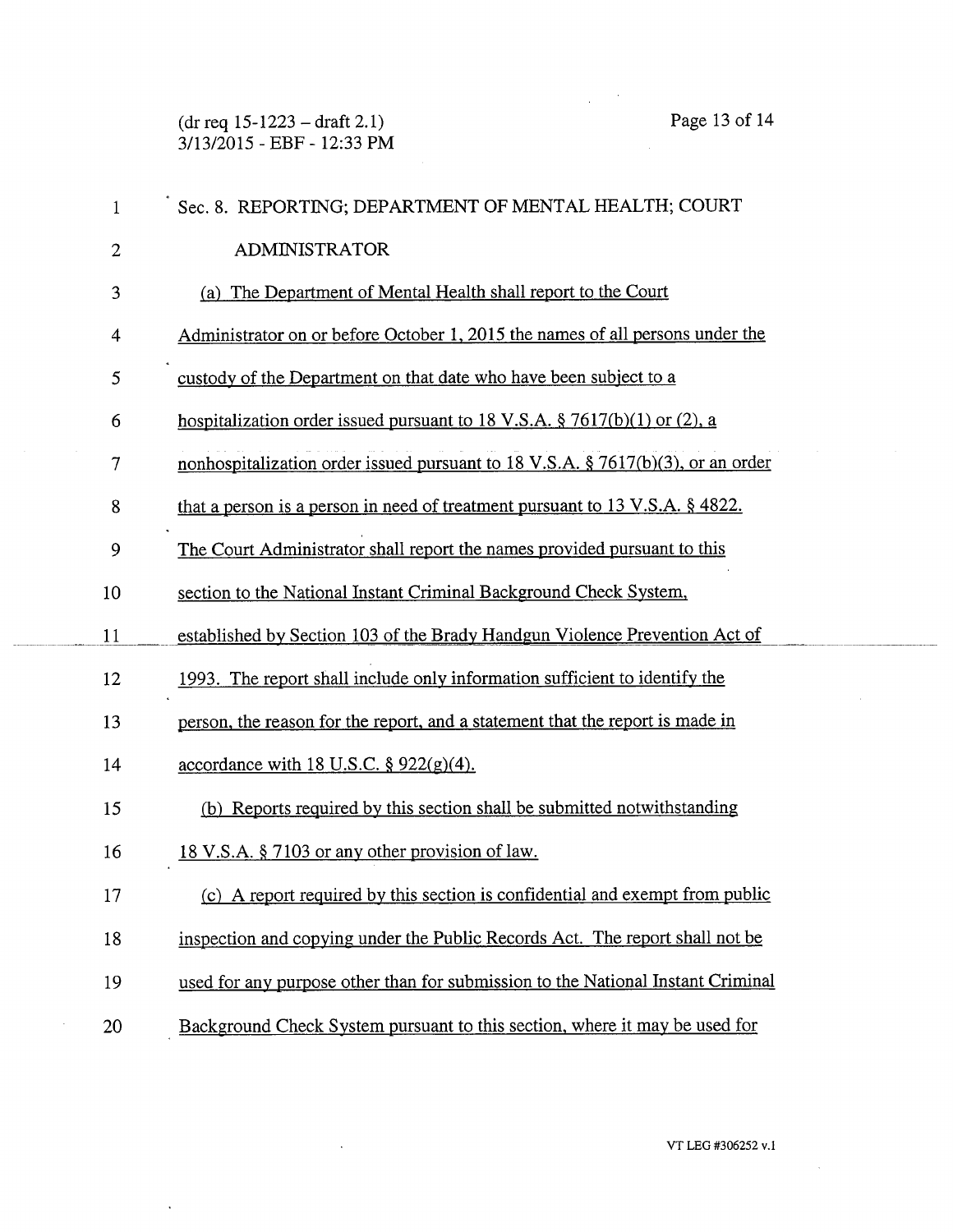(dr req 15-1223 — draft 2.1) Page 13 of 14 3/13/2015 - EBF - 12:33 PM

| $\mathbf{1}$   | Sec. 8. REPORTING; DEPARTMENT OF MENTAL HEALTH; COURT                              |
|----------------|------------------------------------------------------------------------------------|
| $\overline{2}$ | <b>ADMINISTRATOR</b>                                                               |
| 3              | (a) The Department of Mental Health shall report to the Court                      |
| 4              | Administrator on or before October 1, 2015 the names of all persons under the      |
| 5              | custody of the Department on that date who have been subject to a                  |
| 6              | hospitalization order issued pursuant to 18 V.S.A. $\S$ 7617(b)(1) or (2), a       |
| 7              | nonhospitalization order issued pursuant to 18 V.S.A. $\S$ 7617(b)(3), or an order |
| 8              | that a person is a person in need of treatment pursuant to 13 V.S.A. $\S$ 4822.    |
| 9              | The Court Administrator shall report the names provided pursuant to this           |
| 10             | section to the National Instant Criminal Background Check System,                  |
| 11             | established by Section 103 of the Brady Handgun Violence Prevention Act of         |
| 12             | 1993. The report shall include only information sufficient to identify the         |
| 13             | person, the reason for the report, and a statement that the report is made in      |
| 14             | accordance with 18 U.S.C. $\S$ 922(g)(4).                                          |
| 15             | (b) Reports required by this section shall be submitted not with standing          |
| 16             | 18 V.S.A. § 7103 or any other provision of law.                                    |
| 17             | (c) A report required by this section is confidential and exempt from public       |
| 18             | inspection and copying under the Public Records Act. The report shall not be       |
| 19             | used for any purpose other than for submission to the National Instant Criminal    |
| 20             | Background Check System pursuant to this section, where it may be used for         |

 $\bar{\beta}$ 

 $\ddot{\phantom{a}}$ 

 $\sim$ 

 $\hat{\boldsymbol{\beta}}$